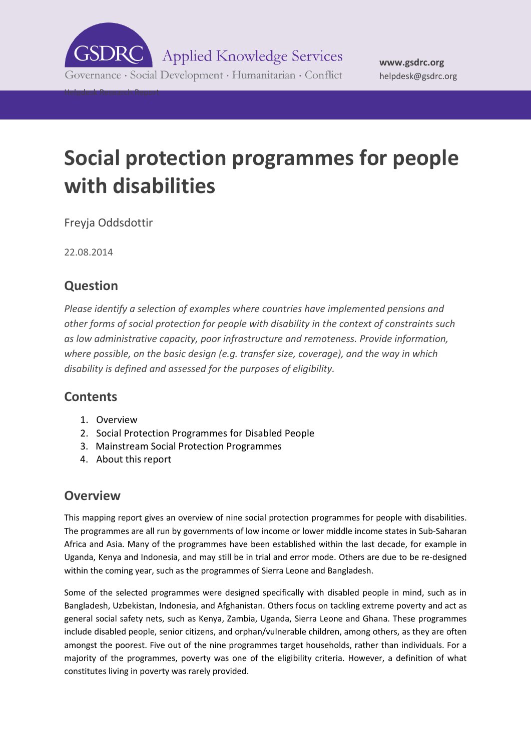

Governance · Social Development · Humanitarian · Conflict

Helpdesk Research Report

# **Social protection programmes for people with disabilities**

Freyja Oddsdottir

22.08.2014

# **Question**

*Please identify a selection of examples where countries have implemented pensions and other forms of social protection for people with disability in the context of constraints such as low administrative capacity, poor infrastructure and remoteness. Provide information, where possible, on the basic design (e.g. transfer size, coverage), and the way in which disability is defined and assessed for the purposes of eligibility.*

# **Contents**

- 1. [Overview](#page-0-0)
- 2. Social Protection Programmes for Disabled People
- 3. Mainstream Social Protection Programmes
- <span id="page-0-0"></span>4. About this report

# **Overview**

This mapping report gives an overview of nine social protection programmes for people with disabilities. The programmes are all run by governments of low income or lower middle income states in Sub-Saharan Africa and Asia. Many of the programmes have been established within the last decade, for example in Uganda, Kenya and Indonesia, and may still be in trial and error mode. Others are due to be re-designed within the coming year, such as the programmes of Sierra Leone and Bangladesh.

Some of the selected programmes were designed specifically with disabled people in mind, such as in Bangladesh, Uzbekistan, Indonesia, and Afghanistan. Others focus on tackling extreme poverty and act as general social safety nets, such as Kenya, Zambia, Uganda, Sierra Leone and Ghana. These programmes include disabled people, senior citizens, and orphan/vulnerable children, among others, as they are often amongst the poorest. Five out of the nine programmes target households, rather than individuals. For a majority of the programmes, poverty was one of the eligibility criteria. However, a definition of what constitutes living in poverty was rarely provided.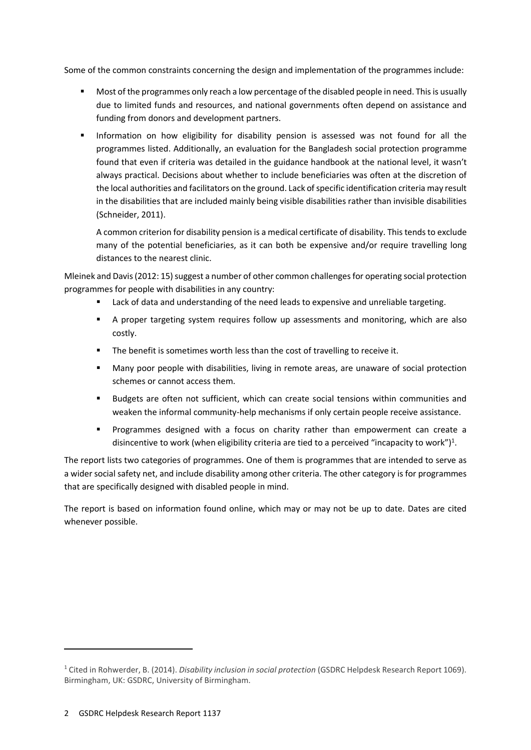Some of the common constraints concerning the design and implementation of the programmes include:

- **Most of the programmes only reach a low percentage of the disabled people in need. This is usually** due to limited funds and resources, and national governments often depend on assistance and funding from donors and development partners.
- **Information on how eligibility for disability pension is assessed was not found for all the** programmes listed. Additionally, an evaluation for the Bangladesh social protection programme found that even if criteria was detailed in the guidance handbook at the national level, it wasn't always practical. Decisions about whether to include beneficiaries was often at the discretion of the local authorities and facilitators on the ground. Lack of specific identification criteria may result in the disabilities that are included mainly being visible disabilities rather than invisible disabilities (Schneider, 2011).

A common criterion for disability pension is a medical certificate of disability. This tends to exclude many of the potential beneficiaries, as it can both be expensive and/or require travelling long distances to the nearest clinic.

Mleinek and Davis (2012: 15) suggest a number of other common challenges for operating social protection programmes for people with disabilities in any country:

- Lack of data and understanding of the need leads to expensive and unreliable targeting.
- A proper targeting system requires follow up assessments and monitoring, which are also costly.
- The benefit is sometimes worth less than the cost of travelling to receive it.
- Many poor people with disabilities, living in remote areas, are unaware of social protection schemes or cannot access them.
- Budgets are often not sufficient, which can create social tensions within communities and weaken the informal community-help mechanisms if only certain people receive assistance.
- Programmes designed with a focus on charity rather than empowerment can create a disincentive to work (when eligibility criteria are tied to a perceived "incapacity to work")<sup>1</sup>.

The report lists two categories of programmes. One of them is programmes that are intended to serve as a wider social safety net, and include disability among other criteria. The other category is for programmes that are specifically designed with disabled people in mind.

The report is based on information found online, which may or may not be up to date. Dates are cited whenever possible.

-

<sup>1</sup> Cited in Rohwerder, B. (2014). *Disability inclusion in social protection* (GSDRC Helpdesk Research Report 1069). Birmingham, UK: GSDRC, University of Birmingham.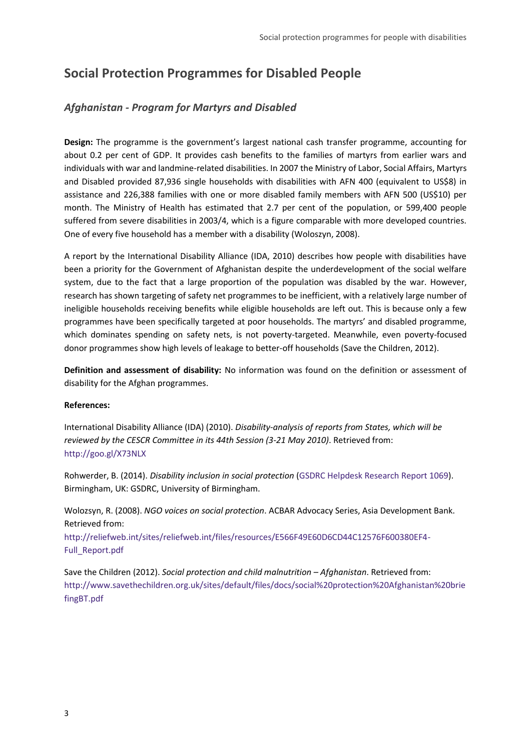# **Social Protection Programmes for Disabled People**

# *Afghanistan - Program for Martyrs and Disabled*

**Design:** The programme is the government's largest national cash transfer programme, accounting for about 0.2 per cent of GDP. It provides cash benefits to the families of martyrs from earlier wars and individuals with war and landmine-related disabilities. In 2007 the Ministry of Labor, Social Affairs, Martyrs and Disabled provided 87,936 single households with disabilities with AFN 400 (equivalent to US\$8) in assistance and 226,388 families with one or more disabled family members with AFN 500 (US\$10) per month. The Ministry of Health has estimated that 2.7 per cent of the population, or 599,400 people suffered from severe disabilities in 2003/4, which is a figure comparable with more developed countries. One of every five household has a member with a disability (Woloszyn, 2008).

A report by the International Disability Alliance (IDA, 2010) describes how people with disabilities have been a priority for the Government of Afghanistan despite the underdevelopment of the social welfare system, due to the fact that a large proportion of the population was disabled by the war. However, research has shown targeting of safety net programmes to be inefficient, with a relatively large number of ineligible households receiving benefits while eligible households are left out. This is because only a few programmes have been specifically targeted at poor households. The martyrs' and disabled programme, which dominates spending on safety nets, is not poverty-targeted. Meanwhile, even poverty-focused donor programmes show high levels of leakage to better-off households (Save the Children, 2012).

**Definition and assessment of disability:** No information was found on the definition or assessment of disability for the Afghan programmes.

#### **References:**

International Disability Alliance (IDA) (2010). *Disability-analysis of reports from States, which will be reviewed by the CESCR Committee in its 44th Session (3-21 May 2010)*. Retrieved from: <http://goo.gl/X73NLX>

Rohwerder, B. (2014). *Disability inclusion in social protection* [\(GSDRC Helpdesk Research Report 1069\)](http://www.gsdrc.org/docs/open/HDQ1069.pdf). Birmingham, UK: GSDRC, University of Birmingham.

Wolozsyn, R. (2008). *NGO voices on social protection*. ACBAR Advocacy Series, Asia Development Bank. Retrieved from:

[http://reliefweb.int/sites/reliefweb.int/files/resources/E566F49E60D6CD44C12576F600380EF4-](http://reliefweb.int/sites/reliefweb.int/files/resources/E566F49E60D6CD44C12576F600380EF4-Full_Report.pdf) [Full\\_Report.pdf](http://reliefweb.int/sites/reliefweb.int/files/resources/E566F49E60D6CD44C12576F600380EF4-Full_Report.pdf)

Save the Children (2012). *Social protection and child malnutrition - Afghanistan*. Retrieved from: [http://www.savethechildren.org.uk/sites/default/files/docs/social%20protection%20Afghanistan%20brie](http://www.savethechildren.org.uk/sites/default/files/docs/social%20protection%20Afghanistan%20briefingBT.pdf) [fingBT.pdf](http://www.savethechildren.org.uk/sites/default/files/docs/social%20protection%20Afghanistan%20briefingBT.pdf)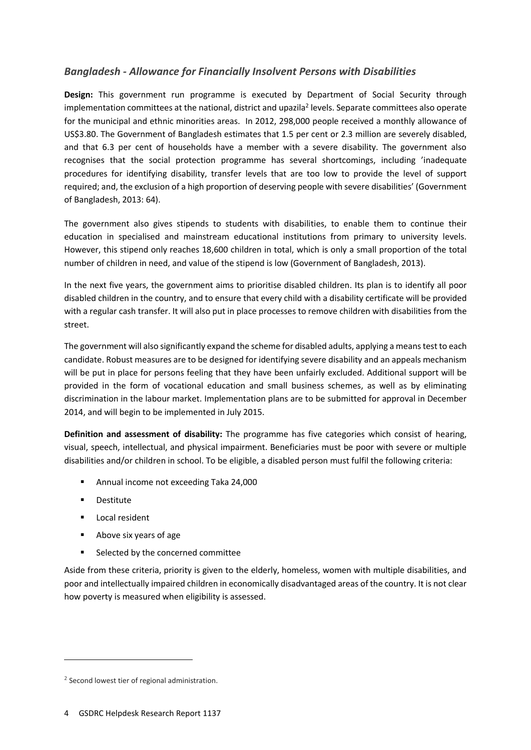# *Bangladesh - Allowance for Financially Insolvent Persons with Disabilities*

**Design:** This government run programme is executed by Department of Social Security through implementation committees at the national, district and upazila<sup>2</sup> levels. Separate committees also operate for the municipal and ethnic minorities areas. In 2012, 298,000 people received a monthly allowance of US\$3.80. The Government of Bangladesh estimates that 1.5 per cent or 2.3 million are severely disabled, and that 6.3 per cent of households have a member with a severe disability. The government also recognises that the social protection programme has several shortcomings, including 'inadequate procedures for identifying disability, transfer levels that are too low to provide the level of support required; and, the exclusion of a high proportion of deserving people with severe disabilities' (Government of Bangladesh, 2013: 64).

The government also gives stipends to students with disabilities, to enable them to continue their education in specialised and mainstream educational institutions from primary to university levels. However, this stipend only reaches 18,600 children in total, which is only a small proportion of the total number of children in need, and value of the stipend is low (Government of Bangladesh, 2013).

In the next five years, the government aims to prioritise disabled children. Its plan is to identify all poor disabled children in the country, and to ensure that every child with a disability certificate will be provided with a regular cash transfer. It will also put in place processes to remove children with disabilities from the street.

The government will also significantly expand the scheme for disabled adults, applying a means test to each candidate. Robust measures are to be designed for identifying severe disability and an appeals mechanism will be put in place for persons feeling that they have been unfairly excluded. Additional support will be provided in the form of vocational education and small business schemes, as well as by eliminating discrimination in the labour market. Implementation plans are to be submitted for approval in December 2014, and will begin to be implemented in July 2015.

**Definition and assessment of disability:** The programme has five categories which consist of hearing, visual, speech, intellectual, and physical impairment. Beneficiaries must be poor with severe or multiple disabilities and/or children in school. To be eligible, a disabled person must fulfil the following criteria:

- **Annual income not exceeding Taka 24,000**
- **Destitute**

-

- **Local resident**
- Above six years of age
- Selected by the concerned committee

Aside from these criteria, priority is given to the elderly, homeless, women with multiple disabilities, and poor and intellectually impaired children in economically disadvantaged areas of the country. It is not clear how poverty is measured when eligibility is assessed.

<sup>&</sup>lt;sup>2</sup> Second lowest tier of regional administration.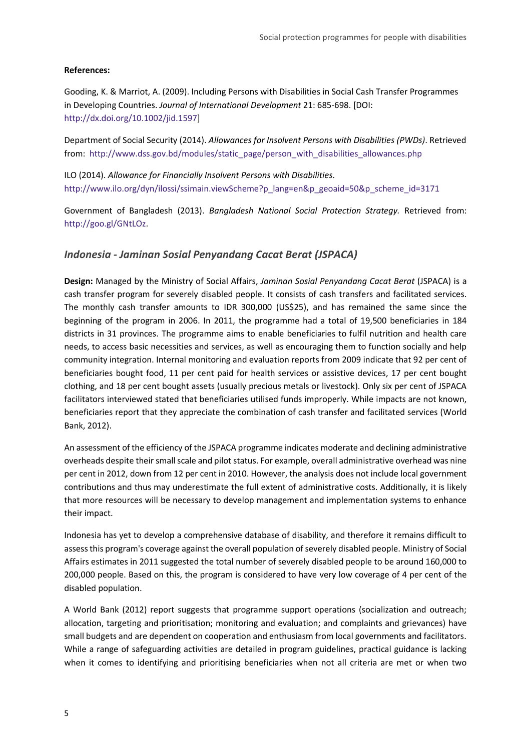#### **References:**

Gooding, K. & Marriot, A. (2009). Including Persons with Disabilities in Social Cash Transfer Programmes in Developing Countries. *Journal of International Development* 21: 685-698. [DOI: [http://dx.doi.org/10.1002/jid.1597\]](http://dx.doi.org/10.1002/jid.1597)

Department of Social Security (2014). *Allowances for Insolvent Persons with Disabilities (PWDs)*. Retrieved from: [http://www.dss.gov.bd/modules/static\\_page/person\\_with\\_disabilities\\_allowances.php](http://www.dss.gov.bd/modules/static_page/person_with_disabilities_allowances.php)

ILO (2014). *Allowance for Financially Insolvent Persons with Disabilities*. [http://www.ilo.org/dyn/ilossi/ssimain.viewScheme?p\\_lang=en&p\\_geoaid=50&p\\_scheme\\_id=3171](http://www.ilo.org/dyn/ilossi/ssimain.viewScheme?p_lang=en&p_geoaid=50&p_scheme_id=3171)

Government of Bangladesh (2013). *Bangladesh National Social Protection Strategy.* Retrieved from: [http://goo.gl/GNtLOz.](http://goo.gl/GNtLOz)

#### *Indonesia - Jaminan Sosial Penyandang Cacat Berat (JSPACA)*

**Design:** Managed by the Ministry of Social Affairs, *Jaminan Sosial Penyandang Cacat Berat* (JSPACA) is a cash transfer program for severely disabled people. It consists of cash transfers and facilitated services. The monthly cash transfer amounts to IDR 300,000 (US\$25), and has remained the same since the beginning of the program in 2006. In 2011, the programme had a total of 19,500 beneficiaries in 184 districts in 31 provinces. The programme aims to enable beneficiaries to fulfil nutrition and health care needs, to access basic necessities and services, as well as encouraging them to function socially and help community integration. Internal monitoring and evaluation reports from 2009 indicate that 92 per cent of beneficiaries bought food, 11 per cent paid for health services or assistive devices, 17 per cent bought clothing, and 18 per cent bought assets (usually precious metals or livestock). Only six per cent of JSPACA facilitators interviewed stated that beneficiaries utilised funds improperly. While impacts are not known, beneficiaries report that they appreciate the combination of cash transfer and facilitated services (World Bank, 2012).

An assessment of the efficiency of the JSPACA programme indicates moderate and declining administrative overheads despite their small scale and pilot status. For example, overall administrative overhead was nine per cent in 2012, down from 12 per cent in 2010. However, the analysis does not include local government contributions and thus may underestimate the full extent of administrative costs. Additionally, it is likely that more resources will be necessary to develop management and implementation systems to enhance their impact.

Indonesia has yet to develop a comprehensive database of disability, and therefore it remains difficult to assess this program's coverage against the overall population of severely disabled people. Ministry of Social Affairs estimates in 2011 suggested the total number of severely disabled people to be around 160,000 to 200,000 people. Based on this, the program is considered to have very low coverage of 4 per cent of the disabled population.

A World Bank (2012) report suggests that programme support operations (socialization and outreach; allocation, targeting and prioritisation; monitoring and evaluation; and complaints and grievances) have small budgets and are dependent on cooperation and enthusiasm from local governments and facilitators. While a range of safeguarding activities are detailed in program guidelines, practical guidance is lacking when it comes to identifying and prioritising beneficiaries when not all criteria are met or when two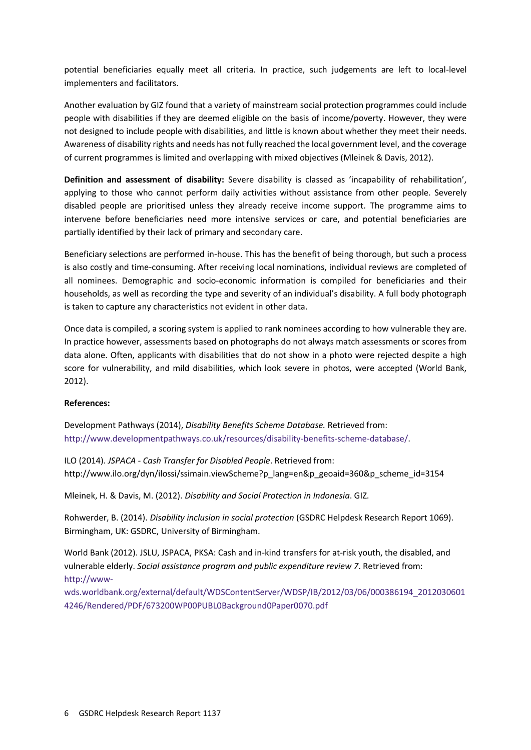potential beneficiaries equally meet all criteria. In practice, such judgements are left to local-level implementers and facilitators.

Another evaluation by GIZ found that a variety of mainstream social protection programmes could include people with disabilities if they are deemed eligible on the basis of income/poverty. However, they were not designed to include people with disabilities, and little is known about whether they meet their needs. Awareness of disability rights and needs has not fully reached the local government level, and the coverage of current programmes is limited and overlapping with mixed objectives (Mleinek & Davis, 2012).

**Definition and assessment of disability:** Severe disability is classed as 'incapability of rehabilitation', applying to those who cannot perform daily activities without assistance from other people. Severely disabled people are prioritised unless they already receive income support. The programme aims to intervene before beneficiaries need more intensive services or care, and potential beneficiaries are partially identified by their lack of primary and secondary care.

Beneficiary selections are performed in-house. This has the benefit of being thorough, but such a process is also costly and time-consuming. After receiving local nominations, individual reviews are completed of all nominees. Demographic and socio-economic information is compiled for beneficiaries and their households, as well as recording the type and severity of an individual's disability. A full body photograph is taken to capture any characteristics not evident in other data.

Once data is compiled, a scoring system is applied to rank nominees according to how vulnerable they are. In practice however, assessments based on photographs do not always match assessments or scores from data alone. Often, applicants with disabilities that do not show in a photo were rejected despite a high score for vulnerability, and mild disabilities, which look severe in photos, were accepted (World Bank, 2012).

#### **References:**

Development Pathways (2014), *Disability Benefits Scheme Database.* Retrieved from: [http://www.developmentpathways.co.uk/resources/disability-benefits-scheme-database/.](http://www.developmentpathways.co.uk/resources/disability-benefits-scheme-database/)

ILO (2014). *JSPACA - Cash Transfer for Disabled People*. Retrieved from: [http://www.ilo.org/dyn/ilossi/ssimain.viewScheme?p\\_lang=en&p\\_geoaid=360&p\\_scheme\\_id=3154](http://www.ilo.org/dyn/ilossi/ssimain.viewScheme?p_lang=en&p_geoaid=360&p_scheme_id=3154)

Mleinek, H. & Davis, M. (2012). *Disability and Social Protection in Indonesia*. GIZ.

Rohwerder, B. (2014). *Disability inclusion in social protection* (GSDRC Helpdesk Research Report 1069). Birmingham, UK: GSDRC, University of Birmingham.

World Bank (2012). JSLU, JSPACA, PKSA: Cash and in-kind transfers for at-risk youth, the disabled, and vulnerable elderly. *Social assistance program and public expenditure review 7*. Retrieved from: [http://www-](http://www-wds.worldbank.org/external/default/WDSContentServer/WDSP/IB/2012/03/06/000386194_20120306014246/Rendered/PDF/673200WP00PUBL0Background0Paper0070.pdf)

[wds.worldbank.org/external/default/WDSContentServer/WDSP/IB/2012/03/06/000386194\\_2012030601](http://www-wds.worldbank.org/external/default/WDSContentServer/WDSP/IB/2012/03/06/000386194_20120306014246/Rendered/PDF/673200WP00PUBL0Background0Paper0070.pdf) [4246/Rendered/PDF/673200WP00PUBL0Background0Paper0070.pdf](http://www-wds.worldbank.org/external/default/WDSContentServer/WDSP/IB/2012/03/06/000386194_20120306014246/Rendered/PDF/673200WP00PUBL0Background0Paper0070.pdf)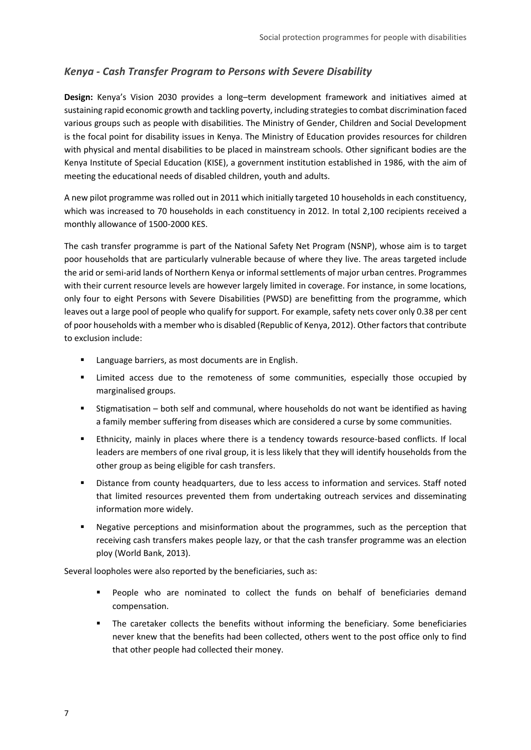## *Kenya - Cash Transfer Program to Persons with Severe Disability*

**Design:** Kenya's Vision 2030 provides a long–term development framework and initiatives aimed at sustaining rapid economic growth and tackling poverty, including strategies to combat discrimination faced various groups such as people with disabilities. The Ministry of Gender, Children and Social Development is the focal point for disability issues in Kenya. The Ministry of Education provides resources for children with physical and mental disabilities to be placed in mainstream schools. Other significant bodies are the Kenya Institute of Special Education (KISE), a government institution established in 1986, with the aim of meeting the educational needs of disabled children, youth and adults.

A new pilot programme was rolled out in 2011 which initially targeted 10 households in each constituency, which was increased to 70 households in each constituency in 2012. In total 2,100 recipients received a monthly allowance of 1500-2000 KES.

The cash transfer programme is part of the National Safety Net Program (NSNP), whose aim is to target poor households that are particularly vulnerable because of where they live. The areas targeted include the arid or semi-arid lands of Northern Kenya or informal settlements of major urban centres. Programmes with their current resource levels are however largely limited in coverage. For instance, in some locations, only four to eight Persons with Severe Disabilities (PWSD) are benefitting from the programme, which leaves out a large pool of people who qualify for support. For example, safety nets cover only 0.38 per cent of poor households with a member who is disabled (Republic of Kenya, 2012). Other factors that contribute to exclusion include:

- Language barriers, as most documents are in English.
- Limited access due to the remoteness of some communities, especially those occupied by marginalised groups.
- Stigmatisation both self and communal, where households do not want be identified as having a family member suffering from diseases which are considered a curse by some communities.
- Ethnicity, mainly in places where there is a tendency towards resource-based conflicts. If local leaders are members of one rival group, it is less likely that they will identify households from the other group as being eligible for cash transfers.
- Distance from county headquarters, due to less access to information and services. Staff noted that limited resources prevented them from undertaking outreach services and disseminating information more widely.
- Negative perceptions and misinformation about the programmes, such as the perception that receiving cash transfers makes people lazy, or that the cash transfer programme was an election ploy (World Bank, 2013).

Several loopholes were also reported by the beneficiaries, such as:

- People who are nominated to collect the funds on behalf of beneficiaries demand compensation.
- The caretaker collects the benefits without informing the beneficiary. Some beneficiaries never knew that the benefits had been collected, others went to the post office only to find that other people had collected their money.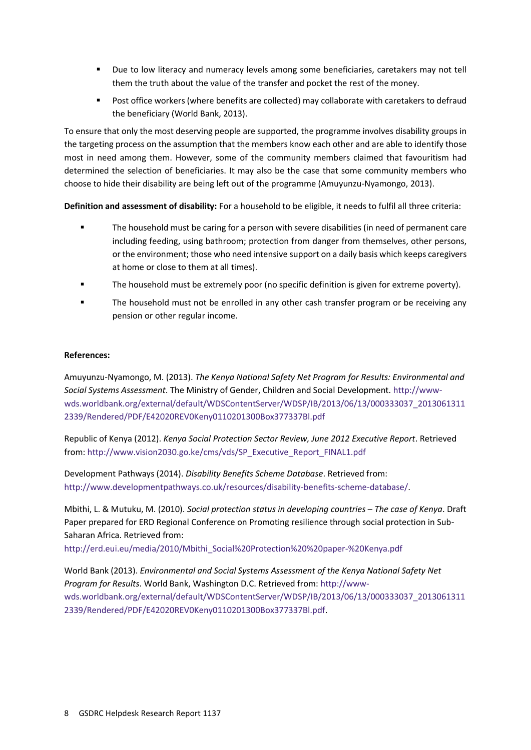- Due to low literacy and numeracy levels among some beneficiaries, caretakers may not tell them the truth about the value of the transfer and pocket the rest of the money.
- Post office workers (where benefits are collected) may collaborate with caretakers to defraud the beneficiary (World Bank, 2013).

To ensure that only the most deserving people are supported, the programme involves disability groups in the targeting process on the assumption that the members know each other and are able to identify those most in need among them. However, some of the community members claimed that favouritism had determined the selection of beneficiaries. It may also be the case that some community members who choose to hide their disability are being left out of the programme (Amuyunzu-Nyamongo, 2013).

**Definition and assessment of disability:** For a household to be eligible, it needs to fulfil all three criteria:

- The household must be caring for a person with severe disabilities (in need of permanent care including feeding, using bathroom; protection from danger from themselves, other persons, or the environment; those who need intensive support on a daily basis which keeps caregivers at home or close to them at all times).
- The household must be extremely poor (no specific definition is given for extreme poverty).
- The household must not be enrolled in any other cash transfer program or be receiving any pension or other regular income.

#### **References:**

Amuyunzu-Nyamongo, M. (2013). *The Kenya National Safety Net Program for Results: Environmental and Social Systems Assessment*. The Ministry of Gender, Children and Social Development. [http://www](http://www-wds.worldbank.org/external/default/WDSContentServer/WDSP/IB/2013/06/13/000333037_20130613112339/Rendered/PDF/E42020REV0Keny0110201300Box377337Bl.pdf)[wds.worldbank.org/external/default/WDSContentServer/WDSP/IB/2013/06/13/000333037\\_2013061311](http://www-wds.worldbank.org/external/default/WDSContentServer/WDSP/IB/2013/06/13/000333037_20130613112339/Rendered/PDF/E42020REV0Keny0110201300Box377337Bl.pdf) [2339/Rendered/PDF/E42020REV0Keny0110201300Box377337Bl.pdf](http://www-wds.worldbank.org/external/default/WDSContentServer/WDSP/IB/2013/06/13/000333037_20130613112339/Rendered/PDF/E42020REV0Keny0110201300Box377337Bl.pdf)

Republic of Kenya (2012). *Kenya Social Protection Sector Review, June 2012 Executive Report*. Retrieved from: [http://www.vision2030.go.ke/cms/vds/SP\\_Executive\\_Report\\_FINAL1.pdf](http://www.vision2030.go.ke/cms/vds/SP_Executive_Report_FINAL1.pdf)

Development Pathways (2014). *Disability Benefits Scheme Database*. Retrieved from: [http://www.developmentpathways.co.uk/resources/disability-benefits-scheme-database/.](http://www.developmentpathways.co.uk/resources/disability-benefits-scheme-database/)

Mbithi, L. & Mutuku, M. (2010). *Social protection status in developing countries – The case of Kenya*. Draft Paper prepared for ERD Regional Conference on Promoting resilience through social protection in Sub-Saharan Africa. Retrieved from:

[http://erd.eui.eu/media/2010/Mbithi\\_Social%20Protection%20%20paper-%20Kenya.pdf](http://erd.eui.eu/media/2010/Mbithi_Social%20Protection%20%20paper-%20Kenya.pdf)

World Bank (2013). *Environmental and Social Systems Assessment of the Kenya National Safety Net Program for Results*. World Bank, Washington D.C. Retrieved from: [http://www](http://www-wds.worldbank.org/external/default/WDSContentServer/WDSP/IB/2013/06/13/000333037_20130613112339/Rendered/PDF/E42020REV0Keny0110201300Box377337Bl.pdf)[wds.worldbank.org/external/default/WDSContentServer/WDSP/IB/2013/06/13/000333037\\_2013061311](http://www-wds.worldbank.org/external/default/WDSContentServer/WDSP/IB/2013/06/13/000333037_20130613112339/Rendered/PDF/E42020REV0Keny0110201300Box377337Bl.pdf) [2339/Rendered/PDF/E42020REV0Keny0110201300Box377337Bl.pdf.](http://www-wds.worldbank.org/external/default/WDSContentServer/WDSP/IB/2013/06/13/000333037_20130613112339/Rendered/PDF/E42020REV0Keny0110201300Box377337Bl.pdf)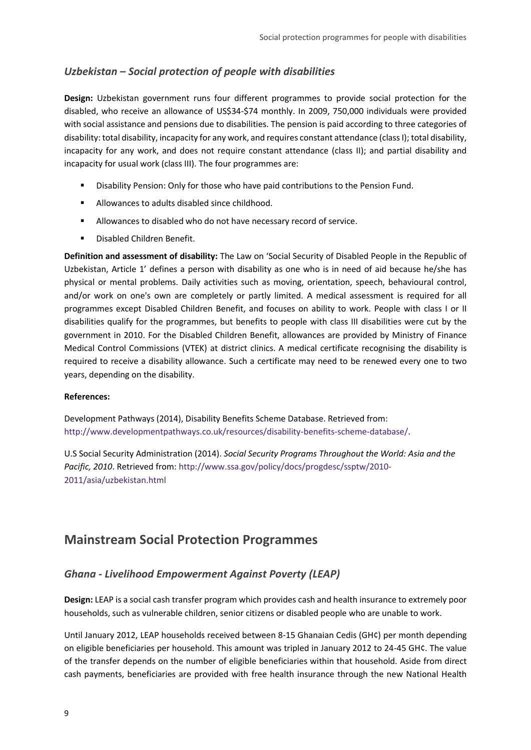## *Uzbekistan – Social protection of people with disabilities*

**Design:** Uzbekistan government runs four different programmes to provide social protection for the disabled, who receive an allowance of US\$34-\$74 monthly. In 2009, 750,000 individuals were provided with social assistance and pensions due to disabilities. The pension is paid according to three categories of disability: total disability, incapacity for any work, and requires constant attendance (class I); total disability, incapacity for any work, and does not require constant attendance (class II); and partial disability and incapacity for usual work (class III). The four programmes are:

- **Disability Pension: Only for those who have paid contributions to the Pension Fund.**
- Allowances to adults disabled since childhood.
- Allowances to disabled who do not have necessary record of service.
- **Disabled Children Benefit.**

**Definition and assessment of disability:** The Law on 'Social Security of Disabled People in the Republic of Uzbekistan, Article 1' defines a person with disability as one who is in need of aid because he/she has physical or mental problems. Daily activities such as moving, orientation, speech, behavioural control, and/or work on one's own are completely or partly limited. A medical assessment is required for all programmes except Disabled Children Benefit, and focuses on ability to work. People with class I or II disabilities qualify for the programmes, but benefits to people with class III disabilities were cut by the government in 2010. For the Disabled Children Benefit, allowances are provided by Ministry of Finance Medical Control Commissions (VTEK) at district clinics. A medical certificate recognising the disability is required to receive a disability allowance. Such a certificate may need to be renewed every one to two years, depending on the disability.

#### **References:**

Development Pathways (2014), Disability Benefits Scheme Database. Retrieved from: [http://www.developmentpathways.co.uk/resources/disability-benefits-scheme-database/.](http://www.developmentpathways.co.uk/resources/disability-benefits-scheme-database/)

U.S Social Security Administration (2014). *Social Security Programs Throughout the World: Asia and the Pacific, 2010*. Retrieved from[: http://www.ssa.gov/policy/docs/progdesc/ssptw/2010-](http://www.ssa.gov/policy/docs/progdesc/ssptw/2010-2011/asia/uzbekistan.html) [2011/asia/uzbekistan.html](http://www.ssa.gov/policy/docs/progdesc/ssptw/2010-2011/asia/uzbekistan.html)

# **Mainstream Social Protection Programmes**

# *Ghana - Livelihood Empowerment Against Poverty (LEAP)*

**Design:** LEAP is a social cash transfer program which provides cash and health insurance to extremely poor households, such as vulnerable children, senior citizens or disabled people who are unable to work.

Until January 2012, LEAP households received between 8-15 Ghanaian Cedis (GH¢) per month depending on eligible beneficiaries per household. This amount was tripled in January 2012 to 24-45 GH¢. The value of the transfer depends on the number of eligible beneficiaries within that household. Aside from direct cash payments, beneficiaries are provided with free health insurance through the new National Health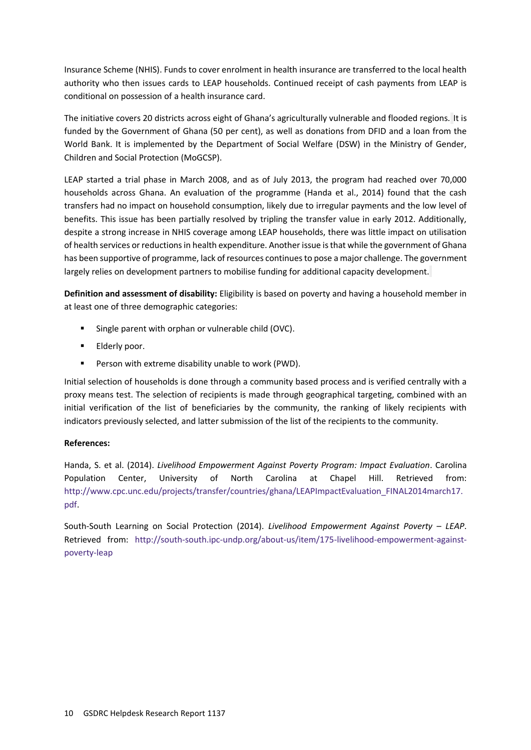Insurance Scheme (NHIS). Funds to cover enrolment in health insurance are transferred to the local health authority who then issues cards to LEAP households. Continued receipt of cash payments from LEAP is conditional on possession of a health insurance card.

The initiative covers 20 districts across eight of Ghana's agriculturally vulnerable and flooded regions. It is funded by the Government of Ghana (50 per cent), as well as donations from DFID and a loan from the World Bank. It is implemented by the Department of Social Welfare (DSW) in the Ministry of Gender, Children and Social Protection (MoGCSP).

LEAP started a trial phase in March 2008, and as of July 2013, the program had reached over 70,000 households across Ghana. An evaluation of the programme (Handa et al., 2014) found that the cash transfers had no impact on household consumption, likely due to irregular payments and the low level of benefits. This issue has been partially resolved by tripling the transfer value in early 2012. Additionally, despite a strong increase in NHIS coverage among LEAP households, there was little impact on utilisation of health services orreductions in health expenditure. Another issue is that while the government of Ghana has been supportive of programme, lack of resources continues to pose a major challenge. The government largely relies on development partners to mobilise funding for additional capacity development.

**Definition and assessment of disability:** Eligibility is based on poverty and having a household member in at least one of three demographic categories:

- Single parent with orphan or vulnerable child (OVC).
- **Elderly poor.**
- **Person with extreme disability unable to work (PWD).**

Initial selection of households is done through a community based process and is verified centrally with a proxy means test. The selection of recipients is made through geographical targeting, combined with an initial verification of the list of beneficiaries by the community, the ranking of likely recipients with indicators previously selected, and latter submission of the list of the recipients to the community.

#### **References:**

Handa, S. et al. (2014). *Livelihood Empowerment Against Poverty Program: Impact Evaluation*. Carolina Population Center, University of North Carolina at Chapel Hill. Retrieved from: [http://www.cpc.unc.edu/projects/transfer/countries/ghana/LEAPImpactEvaluation\\_FINAL2014march17.](http://www.cpc.unc.edu/projects/transfer/countries/ghana/LEAPImpactEvaluation_FINAL2014march17.pdf) [pdf.](http://www.cpc.unc.edu/projects/transfer/countries/ghana/LEAPImpactEvaluation_FINAL2014march17.pdf)

South-South Learning on Social Protection (2014). *Livelihood Empowerment Against Poverty – LEAP*. Retrieved from: [http://south-south.ipc-undp.org/about-us/item/175-livelihood-empowerment-against](http://south-south.ipc-undp.org/about-us/item/175-livelihood-empowerment-against-poverty-leap)[poverty-leap](http://south-south.ipc-undp.org/about-us/item/175-livelihood-empowerment-against-poverty-leap)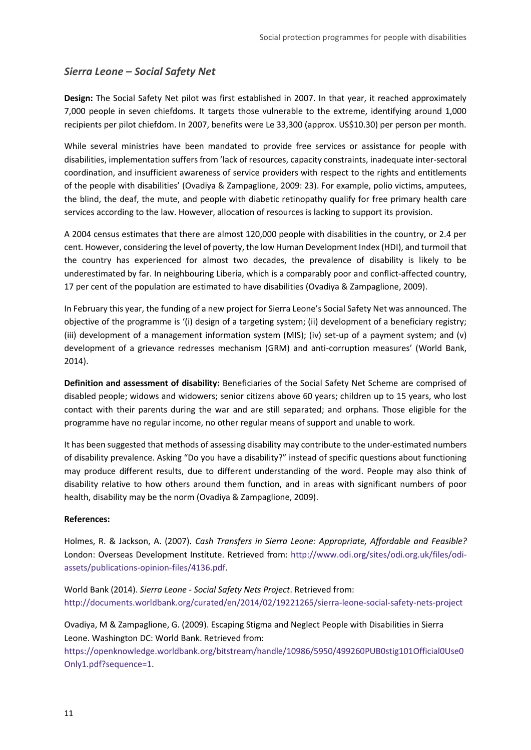## *Sierra Leone – Social Safety Net*

**Design:** The Social Safety Net pilot was first established in 2007. In that year, it reached approximately 7,000 people in seven chiefdoms. It targets those vulnerable to the extreme, identifying around 1,000 recipients per pilot chiefdom. In 2007, benefits were Le 33,300 (approx. US\$10.30) per person per month.

While several ministries have been mandated to provide free services or assistance for people with disabilities, implementation suffers from 'lack of resources, capacity constraints, inadequate inter-sectoral coordination, and insufficient awareness of service providers with respect to the rights and entitlements of the people with disabilities' (Ovadiya & Zampaglione, 2009: 23). For example, polio victims, amputees, the blind, the deaf, the mute, and people with diabetic retinopathy qualify for free primary health care services according to the law. However, allocation of resources is lacking to support its provision.

A 2004 census estimates that there are almost 120,000 people with disabilities in the country, or 2.4 per cent. However, considering the level of poverty, the low Human Development Index (HDI), and turmoil that the country has experienced for almost two decades, the prevalence of disability is likely to be underestimated by far. In neighbouring Liberia, which is a comparably poor and conflict-affected country, 17 per cent of the population are estimated to have disabilities (Ovadiya & Zampaglione, 2009).

In February this year, the funding of a new project for Sierra Leone's Social Safety Net was announced. The objective of the programme is '(i) design of a targeting system; (ii) development of a beneficiary registry; (iii) development of a management information system (MIS); (iv) set-up of a payment system; and (v) development of a grievance redresses mechanism (GRM) and anti-corruption measures' (World Bank, 2014).

**Definition and assessment of disability:** Beneficiaries of the Social Safety Net Scheme are comprised of disabled people; widows and widowers; senior citizens above 60 years; children up to 15 years, who lost contact with their parents during the war and are still separated; and orphans. Those eligible for the programme have no regular income, no other regular means of support and unable to work.

It has been suggested that methods of assessing disability may contribute to the under-estimated numbers of disability prevalence. Asking "Do you have a disability?" instead of specific questions about functioning may produce different results, due to different understanding of the word. People may also think of disability relative to how others around them function, and in areas with significant numbers of poor health, disability may be the norm (Ovadiya & Zampaglione, 2009).

#### **References:**

Holmes, R. & Jackson, A. (2007). *Cash Transfers in Sierra Leone: Appropriate, Affordable and Feasible?* London: Overseas Development Institute. Retrieved from: [http://www.odi.org/sites/odi.org.uk/files/odi](http://www.odi.org/sites/odi.org.uk/files/odi-assets/publications-opinion-files/4136.pdf)[assets/publications-opinion-files/4136.pdf.](http://www.odi.org/sites/odi.org.uk/files/odi-assets/publications-opinion-files/4136.pdf)

World Bank (2014). *Sierra Leone - Social Safety Nets Project*. Retrieved from: <http://documents.worldbank.org/curated/en/2014/02/19221265/sierra-leone-social-safety-nets-project>

Ovadiya, M & Zampaglione, G. (2009). Escaping Stigma and Neglect People with Disabilities in Sierra Leone. Washington DC: World Bank. Retrieved from:

[https://openknowledge.worldbank.org/bitstream/handle/10986/5950/499260PUB0stig101Official0Use0](https://openknowledge.worldbank.org/bitstream/handle/10986/5950/499260PUB0stig101Official0Use0Only1.pdf?sequence=1) [Only1.pdf?sequence=1.](https://openknowledge.worldbank.org/bitstream/handle/10986/5950/499260PUB0stig101Official0Use0Only1.pdf?sequence=1)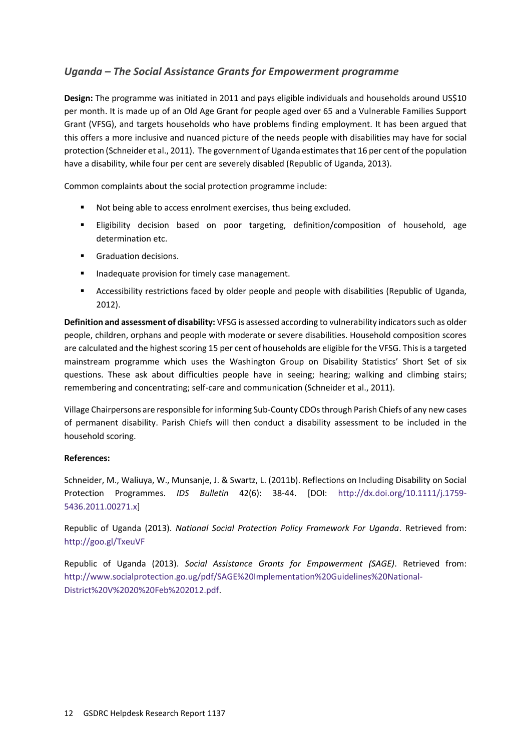# *Uganda – The Social Assistance Grants for Empowerment programme*

**Design:** The programme was initiated in 2011 and pays eligible individuals and households around US\$10 per month. It is made up of an Old Age Grant for people aged over 65 and a Vulnerable Families Support Grant (VFSG), and targets households who have problems finding employment. It has been argued that this offers a more inclusive and nuanced picture of the needs people with disabilities may have for social protection (Schneider et al., 2011). The government of Uganda estimates that 16 per cent of the population have a disability, while four per cent are severely disabled (Republic of Uganda, 2013).

Common complaints about the social protection programme include:

- Not being able to access enrolment exercises, thus being excluded.
- Eligibility decision based on poor targeting, definition/composition of household, age determination etc.
- **Graduation decisions.**
- **Inadequate provision for timely case management.**
- Accessibility restrictions faced by older people and people with disabilities (Republic of Uganda, 2012).

**Definition and assessment of disability:** VFSG is assessed according to vulnerability indicators such as older people, children, orphans and people with moderate or severe disabilities. Household composition scores are calculated and the highest scoring 15 per cent of households are eligible for the VFSG. This is a targeted mainstream programme which uses the Washington Group on Disability Statistics' Short Set of six questions. These ask about difficulties people have in seeing; hearing; walking and climbing stairs; remembering and concentrating; self-care and communication (Schneider et al., 2011).

Village Chairpersons are responsible for informing Sub-County CDOs through Parish Chiefs of any new cases of permanent disability. Parish Chiefs will then conduct a disability assessment to be included in the household scoring.

#### **References:**

Schneider, M., Waliuya, W., Munsanje, J. & Swartz, L. (2011b). Reflections on Including Disability on Social Protection Programmes. *IDS Bulletin* 42(6): 38-44. [DOI: [http://dx.doi.org/10.1111/j.1759-](http://dx.doi.org/10.1111/j.1759-5436.2011.00271.x) [5436.2011.00271.x\]](http://dx.doi.org/10.1111/j.1759-5436.2011.00271.x)

Republic of Uganda (2013). *National Social Protection Policy Framework For Uganda*. Retrieved from: <http://goo.gl/TxeuVF>

Republic of Uganda (2013). *Social Assistance Grants for Empowerment (SAGE)*. Retrieved from: [http://www.socialprotection.go.ug/pdf/SAGE%20Implementation%20Guidelines%20National-](http://www.socialprotection.go.ug/pdf/SAGE%20Implementation%20Guidelines%20National-District%20V%2020%20Feb%202012.pdf)[District%20V%2020%20Feb%202012.pdf.](http://www.socialprotection.go.ug/pdf/SAGE%20Implementation%20Guidelines%20National-District%20V%2020%20Feb%202012.pdf)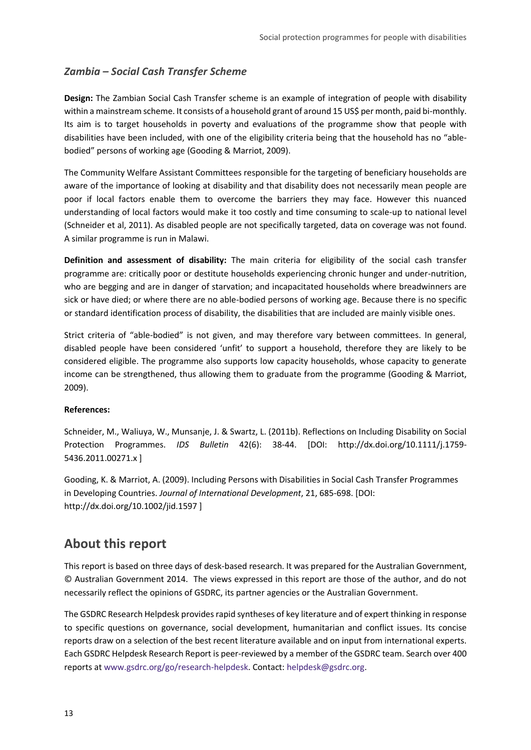## *Zambia – Social Cash Transfer Scheme*

**Design:** The Zambian Social Cash Transfer scheme is an example of integration of people with disability within a mainstream scheme. It consists of a household grant of around 15 US\$ per month, paid bi-monthly. Its aim is to target households in poverty and evaluations of the programme show that people with disabilities have been included, with one of the eligibility criteria being that the household has no "ablebodied" persons of working age (Gooding & Marriot, 2009).

The Community Welfare Assistant Committees responsible for the targeting of beneficiary households are aware of the importance of looking at disability and that disability does not necessarily mean people are poor if local factors enable them to overcome the barriers they may face. However this nuanced understanding of local factors would make it too costly and time consuming to scale-up to national level (Schneider et al, 2011). As disabled people are not specifically targeted, data on coverage was not found. A similar programme is run in Malawi.

**Definition and assessment of disability:** The main criteria for eligibility of the social cash transfer programme are: critically poor or destitute households experiencing chronic hunger and under-nutrition, who are begging and are in danger of starvation; and incapacitated households where breadwinners are sick or have died; or where there are no able-bodied persons of working age. Because there is no specific or standard identification process of disability, the disabilities that are included are mainly visible ones.

Strict criteria of "able-bodied" is not given, and may therefore vary between committees. In general, disabled people have been considered 'unfit' to support a household, therefore they are likely to be considered eligible. The programme also supports low capacity households, whose capacity to generate income can be strengthened, thus allowing them to graduate from the programme (Gooding & Marriot, 2009).

#### **References:**

Schneider, M., Waliuya, W., Munsanje, J. & Swartz, L. (2011b). Reflections on Including Disability on Social Protection Programmes. *IDS Bulletin* 42(6): 38-44. [DOI: http://dx.doi.org/10.1111/j.1759- 5436.2011.00271.x ]

Gooding, K. & Marriot, A. (2009). Including Persons with Disabilities in Social Cash Transfer Programmes in Developing Countries. *Journal of International Development*, 21, 685-698. [DOI: http://dx.doi.org/10.1002/jid.1597 ]

# **About this report**

This report is based on three days of desk-based research. It was prepared for the Australian Government, © Australian Government 2014. The views expressed in this report are those of the author, and do not necessarily reflect the opinions of GSDRC, its partner agencies or the Australian Government.

The GSDRC Research Helpdesk provides rapid syntheses of key literature and of expert thinking in response to specific questions on governance, social development, humanitarian and conflict issues. Its concise reports draw on a selection of the best recent literature available and on input from international experts. Each GSDRC Helpdesk Research Report is peer-reviewed by a member of the GSDRC team. Search over 400 reports a[t www.gsdrc.org/go/research-helpdesk.](http://www.gsdrc.org/go/research-helpdesk) Contact[: helpdesk@gsdrc.org.](mailto:helpdesk@gsdrc.org)